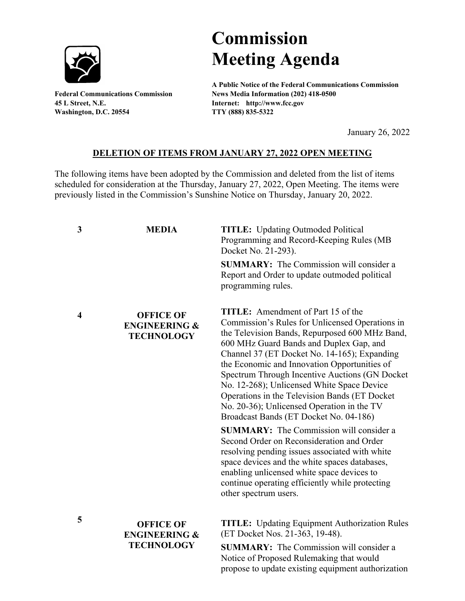

**45 L Street, N.E. Internet: http://www.fcc.gov Washington, D.C. 20554 TTY (888) 835-5322**

## **Commission Meeting Agenda**

**A Public Notice of the Federal Communications Commission Federal Communications Commission News Media Information (202) 418-0500**

January 26, 2022

## **DELETION OF ITEMS FROM JANUARY 27, 2022 OPEN MEETING**

The following items have been adopted by the Commission and deleted from the list of items scheduled for consideration at the Thursday, January 27, 2022, Open Meeting. The items were previously listed in the Commission's Sunshine Notice on Thursday, January 20, 2022.

| 3 | <b>MEDIA</b>                                                      | <b>TITLE:</b> Updating Outmoded Political<br>Programming and Record-Keeping Rules (MB<br>Docket No. 21-293).                                                                                                                                                                                                                                                                                                                                                                                                                        |
|---|-------------------------------------------------------------------|-------------------------------------------------------------------------------------------------------------------------------------------------------------------------------------------------------------------------------------------------------------------------------------------------------------------------------------------------------------------------------------------------------------------------------------------------------------------------------------------------------------------------------------|
|   |                                                                   | <b>SUMMARY:</b> The Commission will consider a<br>Report and Order to update outmoded political<br>programming rules.                                                                                                                                                                                                                                                                                                                                                                                                               |
| 4 | <b>OFFICE OF</b><br><b>ENGINEERING &amp;</b><br><b>TECHNOLOGY</b> | <b>TITLE:</b> Amendment of Part 15 of the<br>Commission's Rules for Unlicensed Operations in<br>the Television Bands, Repurposed 600 MHz Band,<br>600 MHz Guard Bands and Duplex Gap, and<br>Channel 37 (ET Docket No. 14-165); Expanding<br>the Economic and Innovation Opportunities of<br>Spectrum Through Incentive Auctions (GN Docket)<br>No. 12-268); Unlicensed White Space Device<br>Operations in the Television Bands (ET Docket<br>No. 20-36); Unlicensed Operation in the TV<br>Broadcast Bands (ET Docket No. 04-186) |
|   |                                                                   | <b>SUMMARY:</b> The Commission will consider a<br>Second Order on Reconsideration and Order<br>resolving pending issues associated with white<br>space devices and the white spaces databases,<br>enabling unlicensed white space devices to<br>continue operating efficiently while protecting<br>other spectrum users.                                                                                                                                                                                                            |
| 5 | <b>OFFICE OF</b><br><b>ENGINEERING &amp;</b><br><b>TECHNOLOGY</b> | <b>TITLE:</b> Updating Equipment Authorization Rules<br>(ET Docket Nos. 21-363, 19-48).<br>$\bf SIIMMARV\cdot$ The Commission will consider a                                                                                                                                                                                                                                                                                                                                                                                       |

**SUMMARY:** The Commission will consider a Notice of Proposed Rulemaking that would propose to update existing equipment authorization